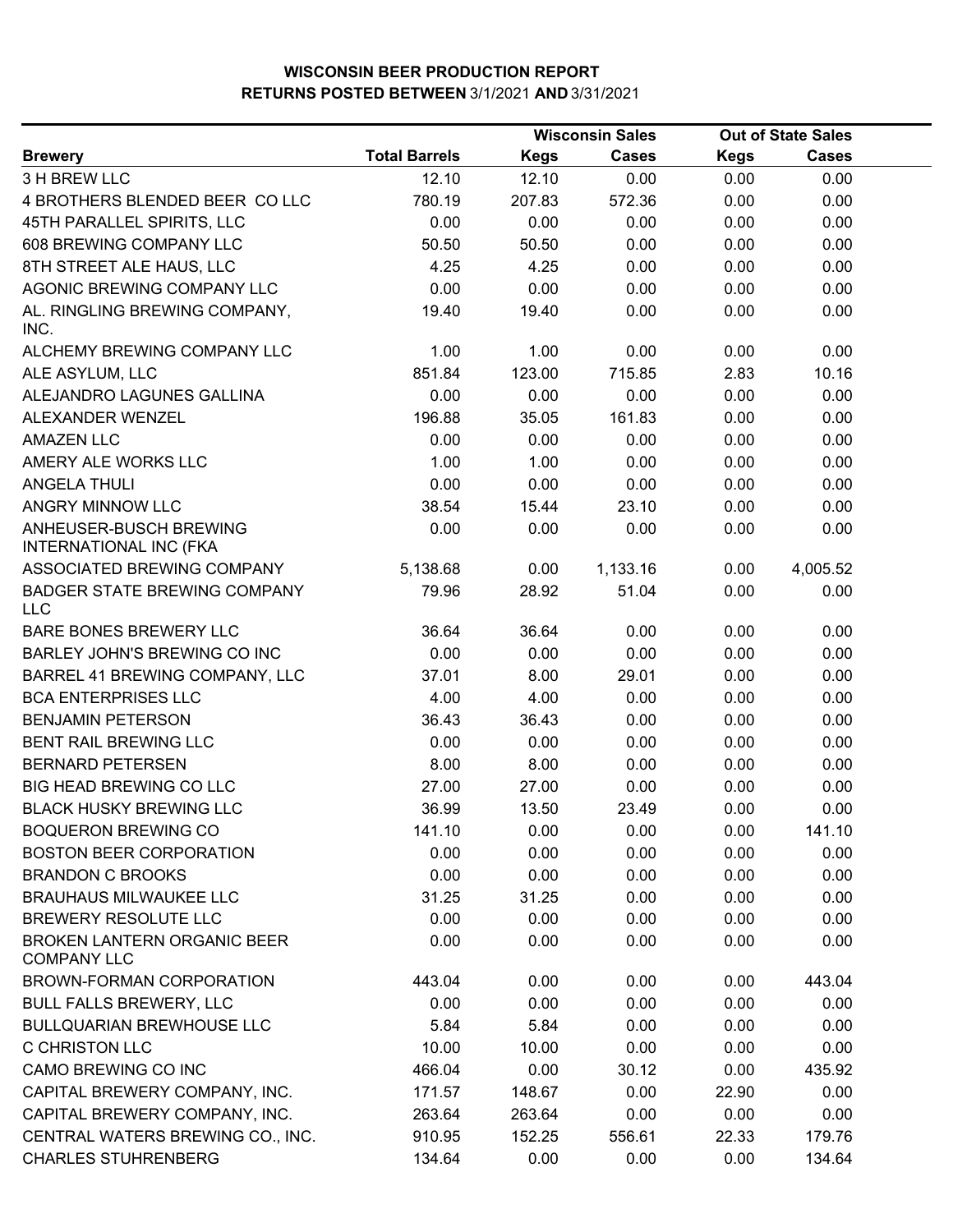|                                                          | <b>Wisconsin Sales</b> |             |              |             | <b>Out of State Sales</b> |  |
|----------------------------------------------------------|------------------------|-------------|--------------|-------------|---------------------------|--|
| <b>Brewery</b>                                           | <b>Total Barrels</b>   | <b>Kegs</b> | <b>Cases</b> | <b>Kegs</b> | <b>Cases</b>              |  |
| 3 H BREW LLC                                             | 12.10                  | 12.10       | 0.00         | 0.00        | 0.00                      |  |
| 4 BROTHERS BLENDED BEER COLLC                            | 780.19                 | 207.83      | 572.36       | 0.00        | 0.00                      |  |
| 45TH PARALLEL SPIRITS, LLC                               | 0.00                   | 0.00        | 0.00         | 0.00        | 0.00                      |  |
| 608 BREWING COMPANY LLC                                  | 50.50                  | 50.50       | 0.00         | 0.00        | 0.00                      |  |
| 8TH STREET ALE HAUS, LLC                                 | 4.25                   | 4.25        | 0.00         | 0.00        | 0.00                      |  |
| AGONIC BREWING COMPANY LLC                               | 0.00                   | 0.00        | 0.00         | 0.00        | 0.00                      |  |
| AL. RINGLING BREWING COMPANY,<br>INC.                    | 19.40                  | 19.40       | 0.00         | 0.00        | 0.00                      |  |
| ALCHEMY BREWING COMPANY LLC                              | 1.00                   | 1.00        | 0.00         | 0.00        | 0.00                      |  |
| ALE ASYLUM, LLC                                          | 851.84                 | 123.00      | 715.85       | 2.83        | 10.16                     |  |
| ALEJANDRO LAGUNES GALLINA                                | 0.00                   | 0.00        | 0.00         | 0.00        | 0.00                      |  |
| ALEXANDER WENZEL                                         | 196.88                 | 35.05       | 161.83       | 0.00        | 0.00                      |  |
| <b>AMAZEN LLC</b>                                        | 0.00                   | 0.00        | 0.00         | 0.00        | 0.00                      |  |
| AMERY ALE WORKS LLC                                      | 1.00                   | 1.00        | 0.00         | 0.00        | 0.00                      |  |
| <b>ANGELA THULI</b>                                      | 0.00                   | 0.00        | 0.00         | 0.00        | 0.00                      |  |
| ANGRY MINNOW LLC                                         | 38.54                  | 15.44       | 23.10        | 0.00        | 0.00                      |  |
| ANHEUSER-BUSCH BREWING<br><b>INTERNATIONAL INC (FKA</b>  | 0.00                   | 0.00        | 0.00         | 0.00        | 0.00                      |  |
| ASSOCIATED BREWING COMPANY                               | 5,138.68               | 0.00        | 1,133.16     | 0.00        | 4,005.52                  |  |
| <b>BADGER STATE BREWING COMPANY</b><br><b>LLC</b>        | 79.96                  | 28.92       | 51.04        | 0.00        | 0.00                      |  |
| BARE BONES BREWERY LLC                                   | 36.64                  | 36.64       | 0.00         | 0.00        | 0.00                      |  |
| BARLEY JOHN'S BREWING CO INC                             | 0.00                   | 0.00        | 0.00         | 0.00        | 0.00                      |  |
| BARREL 41 BREWING COMPANY, LLC                           | 37.01                  | 8.00        | 29.01        | 0.00        | 0.00                      |  |
| <b>BCA ENTERPRISES LLC</b>                               | 4.00                   | 4.00        | 0.00         | 0.00        | 0.00                      |  |
| <b>BENJAMIN PETERSON</b>                                 | 36.43                  | 36.43       | 0.00         | 0.00        | 0.00                      |  |
| <b>BENT RAIL BREWING LLC</b>                             | 0.00                   | 0.00        | 0.00         | 0.00        | 0.00                      |  |
| <b>BERNARD PETERSEN</b>                                  | 8.00                   | 8.00        | 0.00         | 0.00        | 0.00                      |  |
| BIG HEAD BREWING CO LLC                                  | 27.00                  | 27.00       | 0.00         | 0.00        | 0.00                      |  |
| <b>BLACK HUSKY BREWING LLC</b>                           | 36.99                  | 13.50       | 23.49        | 0.00        | 0.00                      |  |
| <b>BOQUERON BREWING CO</b>                               | 141.10                 | 0.00        | 0.00         | 0.00        | 141.10                    |  |
| <b>BOSTON BEER CORPORATION</b>                           | 0.00                   | 0.00        | 0.00         | 0.00        | 0.00                      |  |
| <b>BRANDON C BROOKS</b>                                  | 0.00                   | 0.00        | 0.00         | 0.00        | 0.00                      |  |
| <b>BRAUHAUS MILWAUKEE LLC</b>                            | 31.25                  | 31.25       | 0.00         | 0.00        | 0.00                      |  |
| BREWERY RESOLUTE LLC                                     | 0.00                   | 0.00        | 0.00         | 0.00        | 0.00                      |  |
| <b>BROKEN LANTERN ORGANIC BEER</b><br><b>COMPANY LLC</b> | 0.00                   | 0.00        | 0.00         | 0.00        | 0.00                      |  |
| BROWN-FORMAN CORPORATION                                 | 443.04                 | 0.00        | 0.00         | 0.00        | 443.04                    |  |
| <b>BULL FALLS BREWERY, LLC</b>                           | 0.00                   | 0.00        | 0.00         | 0.00        | 0.00                      |  |
| <b>BULLQUARIAN BREWHOUSE LLC</b>                         | 5.84                   | 5.84        | 0.00         | 0.00        | 0.00                      |  |
| <b>C CHRISTON LLC</b>                                    | 10.00                  | 10.00       | 0.00         | 0.00        | 0.00                      |  |
| CAMO BREWING CO INC                                      | 466.04                 | 0.00        | 30.12        | 0.00        | 435.92                    |  |
| CAPITAL BREWERY COMPANY, INC.                            | 171.57                 | 148.67      | 0.00         | 22.90       | 0.00                      |  |
| CAPITAL BREWERY COMPANY, INC.                            | 263.64                 | 263.64      | 0.00         | 0.00        | 0.00                      |  |
| CENTRAL WATERS BREWING CO., INC.                         | 910.95                 | 152.25      | 556.61       | 22.33       | 179.76                    |  |
| <b>CHARLES STUHRENBERG</b>                               | 134.64                 | 0.00        | 0.00         | 0.00        | 134.64                    |  |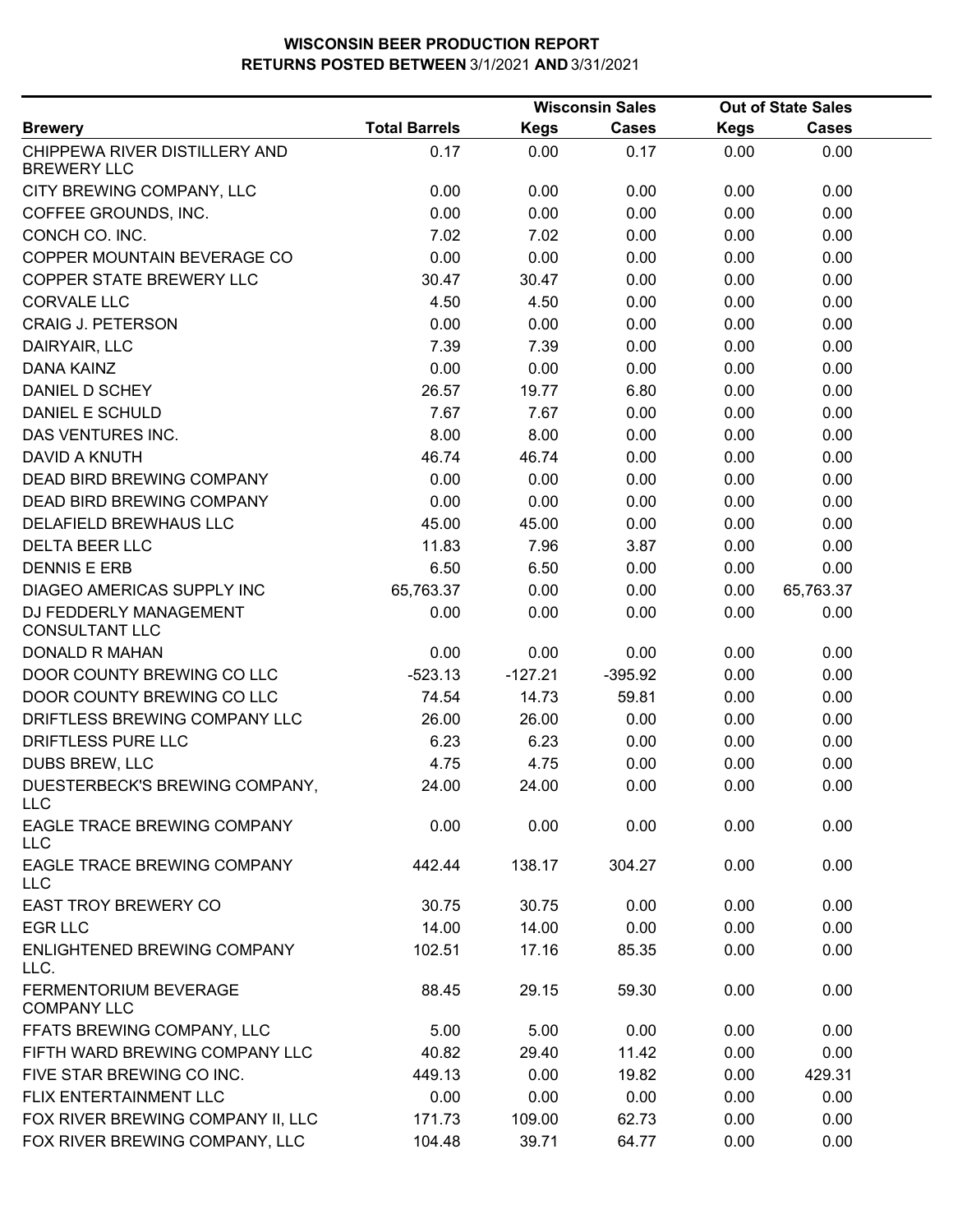|                                                     |                      |             | <b>Wisconsin Sales</b> |             | <b>Out of State Sales</b> |  |
|-----------------------------------------------------|----------------------|-------------|------------------------|-------------|---------------------------|--|
| <b>Brewery</b>                                      | <b>Total Barrels</b> | <b>Kegs</b> | <b>Cases</b>           | <b>Kegs</b> | <b>Cases</b>              |  |
| CHIPPEWA RIVER DISTILLERY AND<br><b>BREWERY LLC</b> | 0.17                 | 0.00        | 0.17                   | 0.00        | 0.00                      |  |
| CITY BREWING COMPANY, LLC                           | 0.00                 | 0.00        | 0.00                   | 0.00        | 0.00                      |  |
| COFFEE GROUNDS, INC.                                | 0.00                 | 0.00        | 0.00                   | 0.00        | 0.00                      |  |
| CONCH CO. INC.                                      | 7.02                 | 7.02        | 0.00                   | 0.00        | 0.00                      |  |
| COPPER MOUNTAIN BEVERAGE CO                         | 0.00                 | 0.00        | 0.00                   | 0.00        | 0.00                      |  |
| COPPER STATE BREWERY LLC                            | 30.47                | 30.47       | 0.00                   | 0.00        | 0.00                      |  |
| <b>CORVALE LLC</b>                                  | 4.50                 | 4.50        | 0.00                   | 0.00        | 0.00                      |  |
| <b>CRAIG J. PETERSON</b>                            | 0.00                 | 0.00        | 0.00                   | 0.00        | 0.00                      |  |
| DAIRYAIR, LLC                                       | 7.39                 | 7.39        | 0.00                   | 0.00        | 0.00                      |  |
| DANA KAINZ                                          | 0.00                 | 0.00        | 0.00                   | 0.00        | 0.00                      |  |
| DANIEL D SCHEY                                      | 26.57                | 19.77       | 6.80                   | 0.00        | 0.00                      |  |
| DANIEL E SCHULD                                     | 7.67                 | 7.67        | 0.00                   | 0.00        | 0.00                      |  |
| DAS VENTURES INC.                                   | 8.00                 | 8.00        | 0.00                   | 0.00        | 0.00                      |  |
| <b>DAVID A KNUTH</b>                                | 46.74                | 46.74       | 0.00                   | 0.00        | 0.00                      |  |
| <b>DEAD BIRD BREWING COMPANY</b>                    | 0.00                 | 0.00        | 0.00                   | 0.00        | 0.00                      |  |
| DEAD BIRD BREWING COMPANY                           | 0.00                 | 0.00        | 0.00                   | 0.00        | 0.00                      |  |
| DELAFIELD BREWHAUS LLC                              | 45.00                | 45.00       | 0.00                   | 0.00        | 0.00                      |  |
| <b>DELTA BEER LLC</b>                               | 11.83                | 7.96        | 3.87                   | 0.00        | 0.00                      |  |
| <b>DENNIS E ERB</b>                                 | 6.50                 | 6.50        | 0.00                   | 0.00        | 0.00                      |  |
| DIAGEO AMERICAS SUPPLY INC                          | 65,763.37            | 0.00        | 0.00                   | 0.00        | 65,763.37                 |  |
| DJ FEDDERLY MANAGEMENT<br><b>CONSULTANT LLC</b>     | 0.00                 | 0.00        | 0.00                   | 0.00        | 0.00                      |  |
| <b>DONALD R MAHAN</b>                               | 0.00                 | 0.00        | 0.00                   | 0.00        | 0.00                      |  |
| DOOR COUNTY BREWING CO LLC                          | $-523.13$            | $-127.21$   | $-395.92$              | 0.00        | 0.00                      |  |
| DOOR COUNTY BREWING CO LLC                          | 74.54                | 14.73       | 59.81                  | 0.00        | 0.00                      |  |
| DRIFTLESS BREWING COMPANY LLC                       | 26.00                | 26.00       | 0.00                   | 0.00        | 0.00                      |  |
| DRIFTLESS PURE LLC                                  | 6.23                 | 6.23        | 0.00                   | 0.00        | 0.00                      |  |
| DUBS BREW, LLC                                      | 4.75                 | 4.75        | 0.00                   | 0.00        | 0.00                      |  |
| DUESTERBECK'S BREWING COMPANY,<br><b>LLC</b>        | 24.00                | 24.00       | 0.00                   | 0.00        | 0.00                      |  |
| EAGLE TRACE BREWING COMPANY<br><b>LLC</b>           | 0.00                 | 0.00        | 0.00                   | 0.00        | 0.00                      |  |
| EAGLE TRACE BREWING COMPANY<br><b>LLC</b>           | 442.44               | 138.17      | 304.27                 | 0.00        | 0.00                      |  |
| <b>EAST TROY BREWERY CO</b>                         | 30.75                | 30.75       | 0.00                   | 0.00        | 0.00                      |  |
| <b>EGR LLC</b>                                      | 14.00                | 14.00       | 0.00                   | 0.00        | 0.00                      |  |
| <b>ENLIGHTENED BREWING COMPANY</b><br>LLC.          | 102.51               | 17.16       | 85.35                  | 0.00        | 0.00                      |  |
| FERMENTORIUM BEVERAGE<br><b>COMPANY LLC</b>         | 88.45                | 29.15       | 59.30                  | 0.00        | 0.00                      |  |
| FFATS BREWING COMPANY, LLC                          | 5.00                 | 5.00        | 0.00                   | 0.00        | 0.00                      |  |
| FIFTH WARD BREWING COMPANY LLC                      | 40.82                | 29.40       | 11.42                  | 0.00        | 0.00                      |  |
| FIVE STAR BREWING CO INC.                           | 449.13               | 0.00        | 19.82                  | 0.00        | 429.31                    |  |
| FLIX ENTERTAINMENT LLC                              | 0.00                 | 0.00        | 0.00                   | 0.00        | 0.00                      |  |
| FOX RIVER BREWING COMPANY II, LLC                   | 171.73               | 109.00      | 62.73                  | 0.00        | 0.00                      |  |
| FOX RIVER BREWING COMPANY, LLC                      | 104.48               | 39.71       | 64.77                  | 0.00        | 0.00                      |  |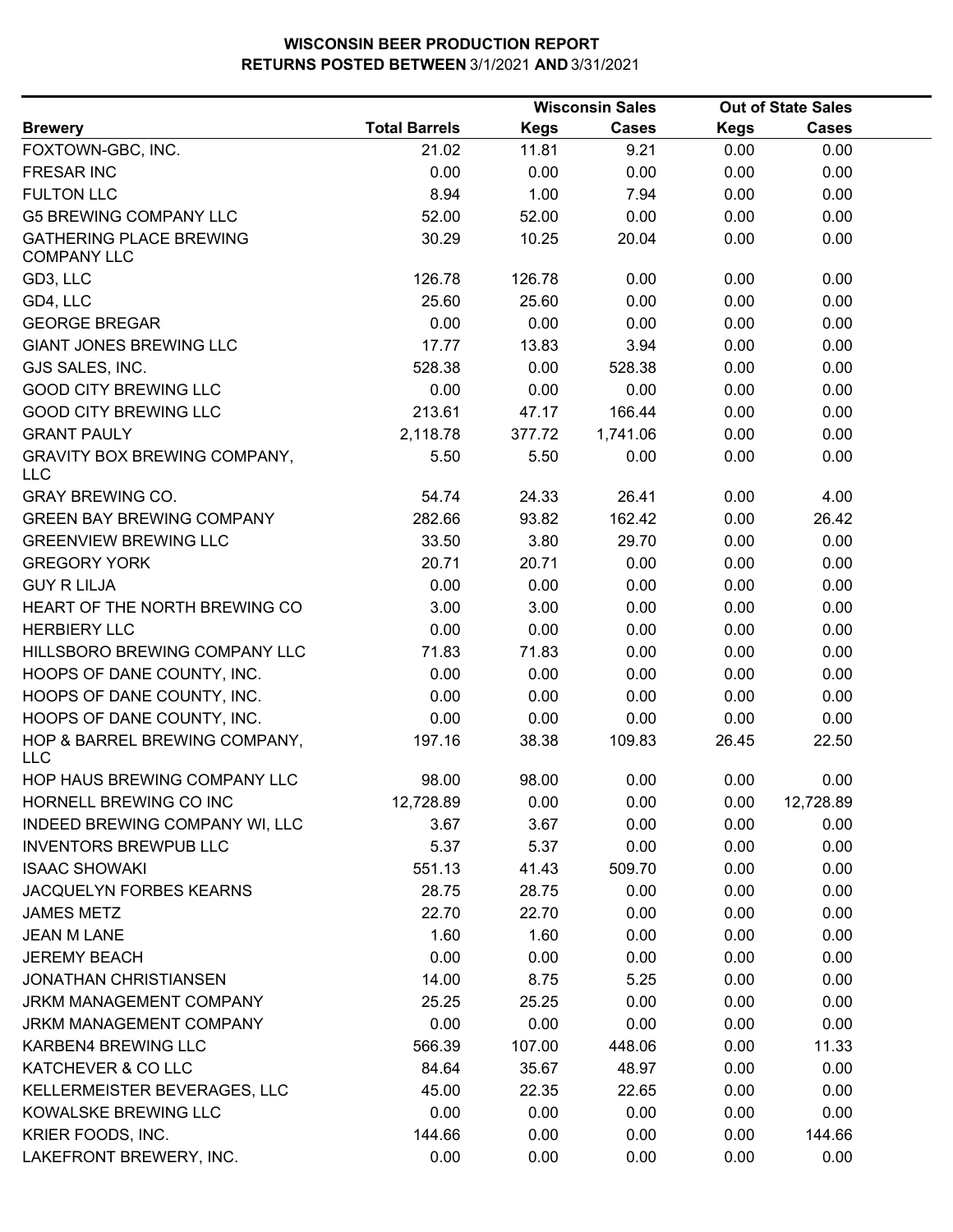|                                                      |                      |             | <b>Wisconsin Sales</b> |             | <b>Out of State Sales</b> |  |
|------------------------------------------------------|----------------------|-------------|------------------------|-------------|---------------------------|--|
| <b>Brewery</b>                                       | <b>Total Barrels</b> | <b>Kegs</b> | <b>Cases</b>           | <b>Kegs</b> | <b>Cases</b>              |  |
| FOXTOWN-GBC, INC.                                    | 21.02                | 11.81       | 9.21                   | 0.00        | 0.00                      |  |
| <b>FRESAR INC</b>                                    | 0.00                 | 0.00        | 0.00                   | 0.00        | 0.00                      |  |
| <b>FULTON LLC</b>                                    | 8.94                 | 1.00        | 7.94                   | 0.00        | 0.00                      |  |
| <b>G5 BREWING COMPANY LLC</b>                        | 52.00                | 52.00       | 0.00                   | 0.00        | 0.00                      |  |
| <b>GATHERING PLACE BREWING</b><br><b>COMPANY LLC</b> | 30.29                | 10.25       | 20.04                  | 0.00        | 0.00                      |  |
| GD3, LLC                                             | 126.78               | 126.78      | 0.00                   | 0.00        | 0.00                      |  |
| GD4, LLC                                             | 25.60                | 25.60       | 0.00                   | 0.00        | 0.00                      |  |
| <b>GEORGE BREGAR</b>                                 | 0.00                 | 0.00        | 0.00                   | 0.00        | 0.00                      |  |
| <b>GIANT JONES BREWING LLC</b>                       | 17.77                | 13.83       | 3.94                   | 0.00        | 0.00                      |  |
| GJS SALES, INC.                                      | 528.38               | 0.00        | 528.38                 | 0.00        | 0.00                      |  |
| <b>GOOD CITY BREWING LLC</b>                         | 0.00                 | 0.00        | 0.00                   | 0.00        | 0.00                      |  |
| <b>GOOD CITY BREWING LLC</b>                         | 213.61               | 47.17       | 166.44                 | 0.00        | 0.00                      |  |
| <b>GRANT PAULY</b>                                   | 2,118.78             | 377.72      | 1,741.06               | 0.00        | 0.00                      |  |
| <b>GRAVITY BOX BREWING COMPANY,</b><br><b>LLC</b>    | 5.50                 | 5.50        | 0.00                   | 0.00        | 0.00                      |  |
| <b>GRAY BREWING CO.</b>                              | 54.74                | 24.33       | 26.41                  | 0.00        | 4.00                      |  |
| <b>GREEN BAY BREWING COMPANY</b>                     | 282.66               | 93.82       | 162.42                 | 0.00        | 26.42                     |  |
| <b>GREENVIEW BREWING LLC</b>                         | 33.50                | 3.80        | 29.70                  | 0.00        | 0.00                      |  |
| <b>GREGORY YORK</b>                                  | 20.71                | 20.71       | 0.00                   | 0.00        | 0.00                      |  |
| <b>GUY R LILJA</b>                                   | 0.00                 | 0.00        | 0.00                   | 0.00        | 0.00                      |  |
| HEART OF THE NORTH BREWING CO                        | 3.00                 | 3.00        | 0.00                   | 0.00        | 0.00                      |  |
| <b>HERBIERY LLC</b>                                  | 0.00                 | 0.00        | 0.00                   | 0.00        | 0.00                      |  |
| HILLSBORO BREWING COMPANY LLC                        | 71.83                | 71.83       | 0.00                   | 0.00        | 0.00                      |  |
| HOOPS OF DANE COUNTY, INC.                           | 0.00                 | 0.00        | 0.00                   | 0.00        | 0.00                      |  |
| HOOPS OF DANE COUNTY, INC.                           | 0.00                 | 0.00        | 0.00                   | 0.00        | 0.00                      |  |
| HOOPS OF DANE COUNTY, INC.                           | 0.00                 | 0.00        | 0.00                   | 0.00        | 0.00                      |  |
| HOP & BARREL BREWING COMPANY,<br><b>LLC</b>          | 197.16               | 38.38       | 109.83                 | 26.45       | 22.50                     |  |
| HOP HAUS BREWING COMPANY LLC                         | 98.00                | 98.00       | 0.00                   | 0.00        | 0.00                      |  |
| HORNELL BREWING CO INC                               | 12,728.89            | 0.00        | 0.00                   | 0.00        | 12,728.89                 |  |
| INDEED BREWING COMPANY WI, LLC                       | 3.67                 | 3.67        | 0.00                   | 0.00        | 0.00                      |  |
| <b>INVENTORS BREWPUB LLC</b>                         | 5.37                 | 5.37        | 0.00                   | 0.00        | 0.00                      |  |
| <b>ISAAC SHOWAKI</b>                                 | 551.13               | 41.43       | 509.70                 | 0.00        | 0.00                      |  |
| JACQUELYN FORBES KEARNS                              | 28.75                | 28.75       | 0.00                   | 0.00        | 0.00                      |  |
| <b>JAMES METZ</b>                                    | 22.70                | 22.70       | 0.00                   | 0.00        | 0.00                      |  |
| <b>JEAN M LANE</b>                                   | 1.60                 | 1.60        | 0.00                   | 0.00        | 0.00                      |  |
| <b>JEREMY BEACH</b>                                  | 0.00                 | 0.00        | 0.00                   | 0.00        | 0.00                      |  |
| <b>JONATHAN CHRISTIANSEN</b>                         | 14.00                | 8.75        | 5.25                   | 0.00        | 0.00                      |  |
| JRKM MANAGEMENT COMPANY                              | 25.25                | 25.25       | 0.00                   | 0.00        | 0.00                      |  |
| JRKM MANAGEMENT COMPANY                              | 0.00                 | 0.00        | 0.00                   | 0.00        | 0.00                      |  |
| KARBEN4 BREWING LLC                                  | 566.39               | 107.00      | 448.06                 | 0.00        | 11.33                     |  |
| KATCHEVER & CO LLC                                   | 84.64                | 35.67       | 48.97                  | 0.00        | 0.00                      |  |
| KELLERMEISTER BEVERAGES, LLC                         | 45.00                | 22.35       | 22.65                  | 0.00        | 0.00                      |  |
| KOWALSKE BREWING LLC                                 | 0.00                 | 0.00        | 0.00                   | 0.00        | 0.00                      |  |
| KRIER FOODS, INC.                                    | 144.66               | 0.00        | 0.00                   | 0.00        | 144.66                    |  |
| LAKEFRONT BREWERY, INC.                              | 0.00                 | 0.00        | 0.00                   | 0.00        | 0.00                      |  |
|                                                      |                      |             |                        |             |                           |  |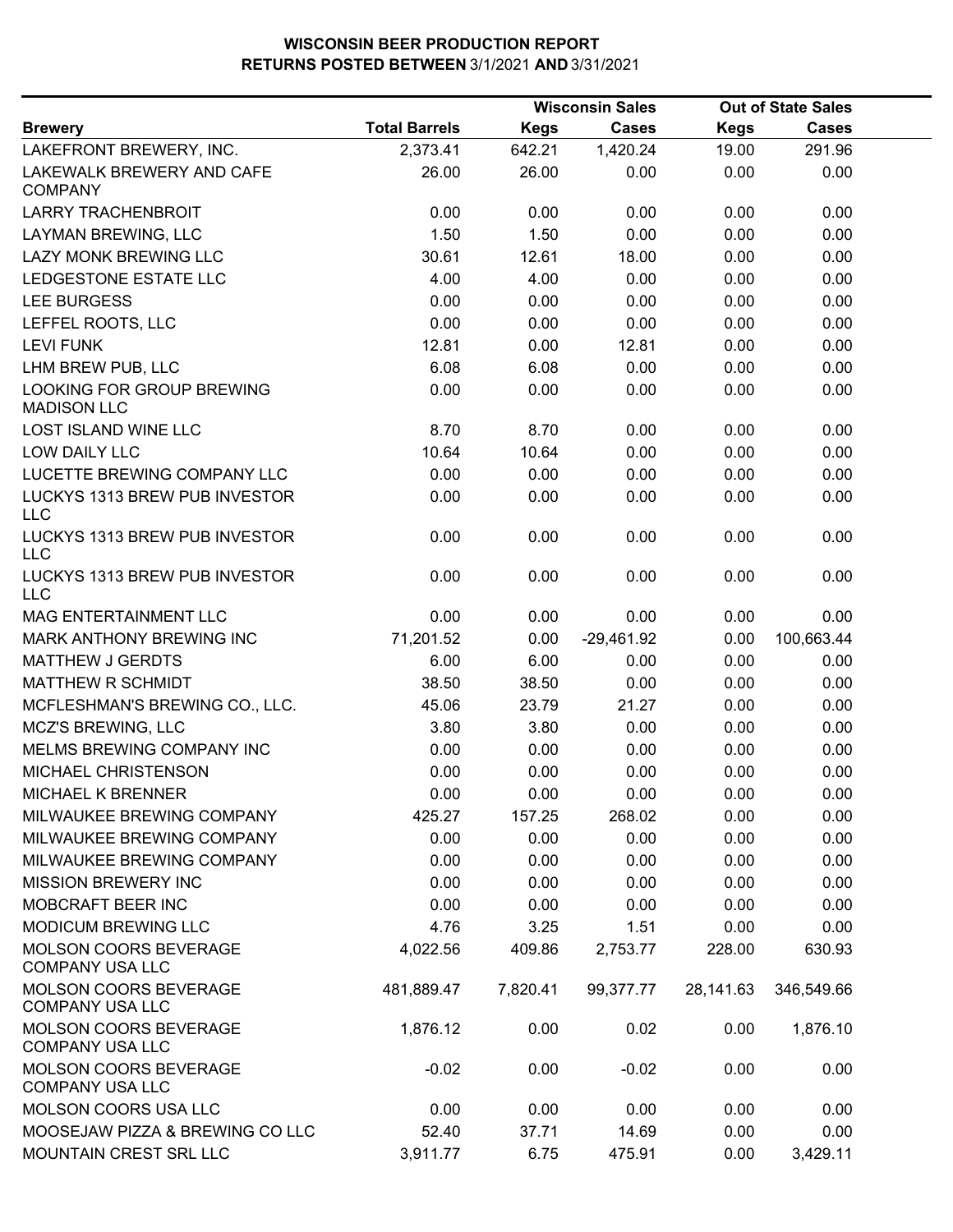|                                                        |                      |             | <b>Wisconsin Sales</b> |             | <b>Out of State Sales</b> |  |
|--------------------------------------------------------|----------------------|-------------|------------------------|-------------|---------------------------|--|
| <b>Brewery</b>                                         | <b>Total Barrels</b> | <b>Kegs</b> | <b>Cases</b>           | <b>Kegs</b> | <b>Cases</b>              |  |
| LAKEFRONT BREWERY, INC.                                | 2,373.41             | 642.21      | 1,420.24               | 19.00       | 291.96                    |  |
| LAKEWALK BREWERY AND CAFE<br><b>COMPANY</b>            | 26.00                | 26.00       | 0.00                   | 0.00        | 0.00                      |  |
| <b>LARRY TRACHENBROIT</b>                              | 0.00                 | 0.00        | 0.00                   | 0.00        | 0.00                      |  |
| LAYMAN BREWING, LLC                                    | 1.50                 | 1.50        | 0.00                   | 0.00        | 0.00                      |  |
| <b>LAZY MONK BREWING LLC</b>                           | 30.61                | 12.61       | 18.00                  | 0.00        | 0.00                      |  |
| LEDGESTONE ESTATE LLC                                  | 4.00                 | 4.00        | 0.00                   | 0.00        | 0.00                      |  |
| <b>LEE BURGESS</b>                                     | 0.00                 | 0.00        | 0.00                   | 0.00        | 0.00                      |  |
| LEFFEL ROOTS, LLC                                      | 0.00                 | 0.00        | 0.00                   | 0.00        | 0.00                      |  |
| <b>LEVI FUNK</b>                                       | 12.81                | 0.00        | 12.81                  | 0.00        | 0.00                      |  |
| LHM BREW PUB, LLC                                      | 6.08                 | 6.08        | 0.00                   | 0.00        | 0.00                      |  |
| LOOKING FOR GROUP BREWING<br><b>MADISON LLC</b>        | 0.00                 | 0.00        | 0.00                   | 0.00        | 0.00                      |  |
| <b>LOST ISLAND WINE LLC</b>                            | 8.70                 | 8.70        | 0.00                   | 0.00        | 0.00                      |  |
| <b>LOW DAILY LLC</b>                                   | 10.64                | 10.64       | 0.00                   | 0.00        | 0.00                      |  |
| LUCETTE BREWING COMPANY LLC                            | 0.00                 | 0.00        | 0.00                   | 0.00        | 0.00                      |  |
| LUCKYS 1313 BREW PUB INVESTOR<br><b>LLC</b>            | 0.00                 | 0.00        | 0.00                   | 0.00        | 0.00                      |  |
| LUCKYS 1313 BREW PUB INVESTOR<br><b>LLC</b>            | 0.00                 | 0.00        | 0.00                   | 0.00        | 0.00                      |  |
| LUCKYS 1313 BREW PUB INVESTOR<br><b>LLC</b>            | 0.00                 | 0.00        | 0.00                   | 0.00        | 0.00                      |  |
| MAG ENTERTAINMENT LLC                                  | 0.00                 | 0.00        | 0.00                   | 0.00        | 0.00                      |  |
| MARK ANTHONY BREWING INC                               | 71,201.52            | 0.00        | $-29,461.92$           | 0.00        | 100,663.44                |  |
| <b>MATTHEW J GERDTS</b>                                | 6.00                 | 6.00        | 0.00                   | 0.00        | 0.00                      |  |
| MATTHEW R SCHMIDT                                      | 38.50                | 38.50       | 0.00                   | 0.00        | 0.00                      |  |
| MCFLESHMAN'S BREWING CO., LLC.                         | 45.06                | 23.79       | 21.27                  | 0.00        | 0.00                      |  |
| MCZ'S BREWING, LLC                                     | 3.80                 | 3.80        | 0.00                   | 0.00        | 0.00                      |  |
| MELMS BREWING COMPANY INC                              | 0.00                 | 0.00        | 0.00                   | 0.00        | 0.00                      |  |
| MICHAEL CHRISTENSON                                    | 0.00                 | 0.00        | 0.00                   | 0.00        | 0.00                      |  |
| MICHAEL K BRENNER                                      | 0.00                 | 0.00        | 0.00                   | 0.00        | 0.00                      |  |
| MILWAUKEE BREWING COMPANY                              | 425.27               | 157.25      | 268.02                 | 0.00        | 0.00                      |  |
| MILWAUKEE BREWING COMPANY                              | 0.00                 | 0.00        | 0.00                   | 0.00        | 0.00                      |  |
| MILWAUKEE BREWING COMPANY                              | 0.00                 | 0.00        | 0.00                   | 0.00        | 0.00                      |  |
| <b>MISSION BREWERY INC</b>                             | 0.00                 | 0.00        | 0.00                   | 0.00        | 0.00                      |  |
| MOBCRAFT BEER INC                                      | 0.00                 | 0.00        | 0.00                   | 0.00        | 0.00                      |  |
| MODICUM BREWING LLC                                    | 4.76                 | 3.25        | 1.51                   | 0.00        | 0.00                      |  |
| <b>MOLSON COORS BEVERAGE</b><br><b>COMPANY USA LLC</b> | 4,022.56             | 409.86      | 2,753.77               | 228.00      | 630.93                    |  |
| MOLSON COORS BEVERAGE<br><b>COMPANY USA LLC</b>        | 481,889.47           | 7,820.41    | 99,377.77              | 28,141.63   | 346,549.66                |  |
| MOLSON COORS BEVERAGE<br><b>COMPANY USA LLC</b>        | 1,876.12             | 0.00        | 0.02                   | 0.00        | 1,876.10                  |  |
| MOLSON COORS BEVERAGE<br><b>COMPANY USA LLC</b>        | $-0.02$              | 0.00        | $-0.02$                | 0.00        | 0.00                      |  |
| MOLSON COORS USA LLC                                   | 0.00                 | 0.00        | 0.00                   | 0.00        | 0.00                      |  |
| MOOSEJAW PIZZA & BREWING CO LLC                        | 52.40                | 37.71       | 14.69                  | 0.00        | 0.00                      |  |
| MOUNTAIN CREST SRL LLC                                 | 3,911.77             | 6.75        | 475.91                 | 0.00        | 3,429.11                  |  |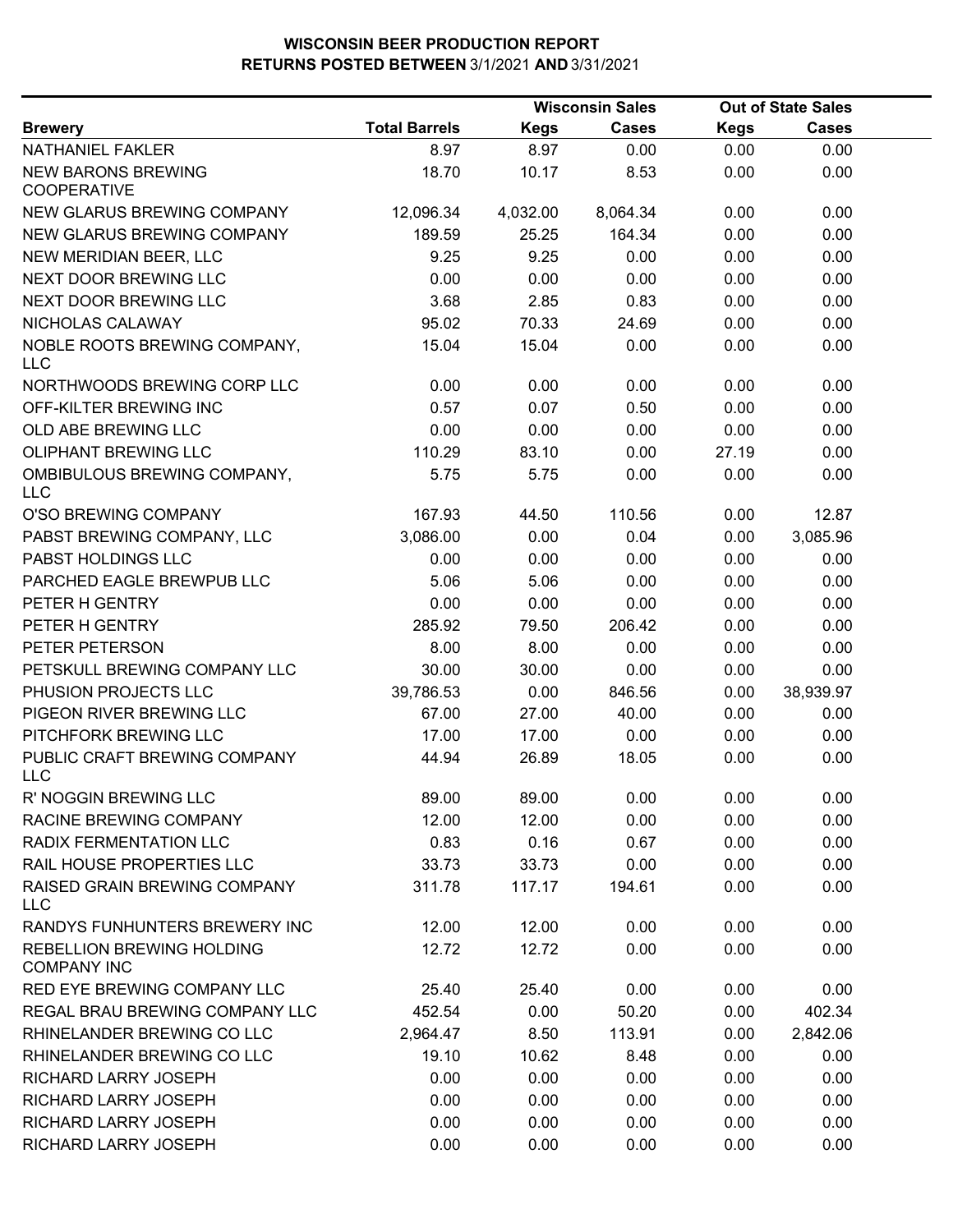|                                                 |                      |             | <b>Wisconsin Sales</b> |             | <b>Out of State Sales</b> |  |
|-------------------------------------------------|----------------------|-------------|------------------------|-------------|---------------------------|--|
| <b>Brewery</b>                                  | <b>Total Barrels</b> | <b>Kegs</b> | <b>Cases</b>           | <b>Kegs</b> | <b>Cases</b>              |  |
| NATHANIEL FAKLER                                | 8.97                 | 8.97        | 0.00                   | 0.00        | 0.00                      |  |
| <b>NEW BARONS BREWING</b><br><b>COOPERATIVE</b> | 18.70                | 10.17       | 8.53                   | 0.00        | 0.00                      |  |
| NEW GLARUS BREWING COMPANY                      | 12,096.34            | 4,032.00    | 8,064.34               | 0.00        | 0.00                      |  |
| NEW GLARUS BREWING COMPANY                      | 189.59               | 25.25       | 164.34                 | 0.00        | 0.00                      |  |
| NEW MERIDIAN BEER, LLC                          | 9.25                 | 9.25        | 0.00                   | 0.00        | 0.00                      |  |
| <b>NEXT DOOR BREWING LLC</b>                    | 0.00                 | 0.00        | 0.00                   | 0.00        | 0.00                      |  |
| NEXT DOOR BREWING LLC                           | 3.68                 | 2.85        | 0.83                   | 0.00        | 0.00                      |  |
| NICHOLAS CALAWAY                                | 95.02                | 70.33       | 24.69                  | 0.00        | 0.00                      |  |
| NOBLE ROOTS BREWING COMPANY,<br><b>LLC</b>      | 15.04                | 15.04       | 0.00                   | 0.00        | 0.00                      |  |
| NORTHWOODS BREWING CORP LLC                     | 0.00                 | 0.00        | 0.00                   | 0.00        | 0.00                      |  |
| OFF-KILTER BREWING INC                          | 0.57                 | 0.07        | 0.50                   | 0.00        | 0.00                      |  |
| OLD ABE BREWING LLC                             | 0.00                 | 0.00        | 0.00                   | 0.00        | 0.00                      |  |
| <b>OLIPHANT BREWING LLC</b>                     | 110.29               | 83.10       | 0.00                   | 27.19       | 0.00                      |  |
| OMBIBULOUS BREWING COMPANY,<br><b>LLC</b>       | 5.75                 | 5.75        | 0.00                   | 0.00        | 0.00                      |  |
| O'SO BREWING COMPANY                            | 167.93               | 44.50       | 110.56                 | 0.00        | 12.87                     |  |
| PABST BREWING COMPANY, LLC                      | 3,086.00             | 0.00        | 0.04                   | 0.00        | 3,085.96                  |  |
| PABST HOLDINGS LLC                              | 0.00                 | 0.00        | 0.00                   | 0.00        | 0.00                      |  |
| PARCHED EAGLE BREWPUB LLC                       | 5.06                 | 5.06        | 0.00                   | 0.00        | 0.00                      |  |
| PETER H GENTRY                                  | 0.00                 | 0.00        | 0.00                   | 0.00        | 0.00                      |  |
| PETER H GENTRY                                  | 285.92               | 79.50       | 206.42                 | 0.00        | 0.00                      |  |
| PETER PETERSON                                  | 8.00                 | 8.00        | 0.00                   | 0.00        | 0.00                      |  |
| PETSKULL BREWING COMPANY LLC                    | 30.00                | 30.00       | 0.00                   | 0.00        | 0.00                      |  |
| PHUSION PROJECTS LLC                            | 39,786.53            | 0.00        | 846.56                 | 0.00        | 38,939.97                 |  |
| PIGEON RIVER BREWING LLC                        | 67.00                | 27.00       | 40.00                  | 0.00        | 0.00                      |  |
| PITCHFORK BREWING LLC                           | 17.00                | 17.00       | 0.00                   | 0.00        | 0.00                      |  |
| PUBLIC CRAFT BREWING COMPANY<br><b>LLC</b>      | 44.94                | 26.89       | 18.05                  | 0.00        | 0.00                      |  |
| R' NOGGIN BREWING LLC                           | 89.00                | 89.00       | 0.00                   | 0.00        | 0.00                      |  |
| RACINE BREWING COMPANY                          | 12.00                | 12.00       | 0.00                   | 0.00        | 0.00                      |  |
| RADIX FERMENTATION LLC                          | 0.83                 | 0.16        | 0.67                   | 0.00        | 0.00                      |  |
| RAIL HOUSE PROPERTIES LLC                       | 33.73                | 33.73       | 0.00                   | 0.00        | 0.00                      |  |
| RAISED GRAIN BREWING COMPANY<br><b>LLC</b>      | 311.78               | 117.17      | 194.61                 | 0.00        | 0.00                      |  |
| RANDYS FUNHUNTERS BREWERY INC                   | 12.00                | 12.00       | 0.00                   | 0.00        | 0.00                      |  |
| REBELLION BREWING HOLDING<br><b>COMPANY INC</b> | 12.72                | 12.72       | 0.00                   | 0.00        | 0.00                      |  |
| RED EYE BREWING COMPANY LLC                     | 25.40                | 25.40       | 0.00                   | 0.00        | 0.00                      |  |
| REGAL BRAU BREWING COMPANY LLC                  | 452.54               | 0.00        | 50.20                  | 0.00        | 402.34                    |  |
| RHINELANDER BREWING CO LLC                      | 2,964.47             | 8.50        | 113.91                 | 0.00        | 2,842.06                  |  |
| RHINELANDER BREWING CO LLC                      | 19.10                | 10.62       | 8.48                   | 0.00        | 0.00                      |  |
| RICHARD LARRY JOSEPH                            | 0.00                 | 0.00        | 0.00                   | 0.00        | 0.00                      |  |
| RICHARD LARRY JOSEPH                            | 0.00                 | 0.00        | 0.00                   | 0.00        | 0.00                      |  |
| RICHARD LARRY JOSEPH                            | 0.00                 | 0.00        | 0.00                   | 0.00        | 0.00                      |  |
| RICHARD LARRY JOSEPH                            | 0.00                 | 0.00        | 0.00                   | 0.00        | 0.00                      |  |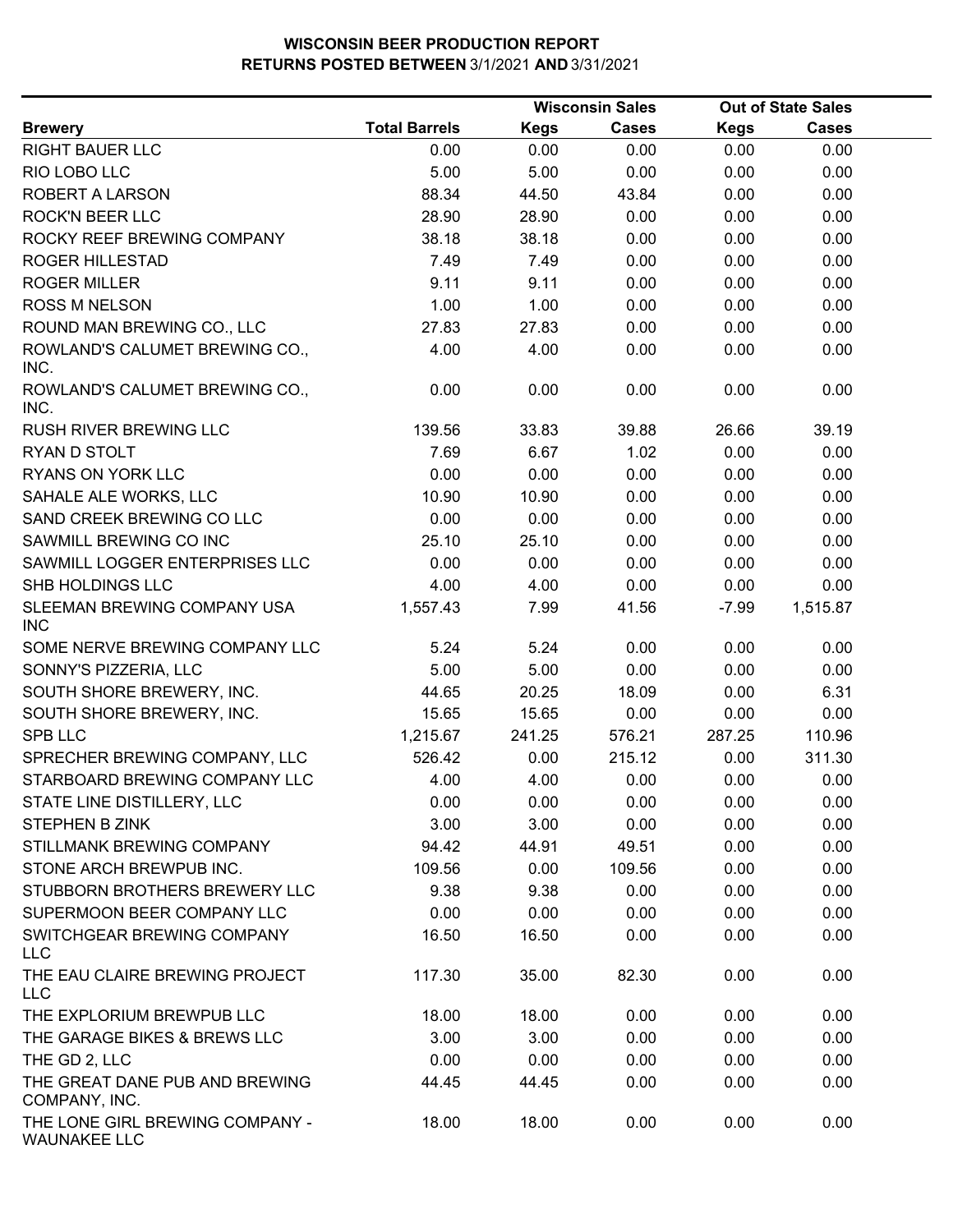|                                                        |                      |             | <b>Wisconsin Sales</b> |             | <b>Out of State Sales</b> |  |
|--------------------------------------------------------|----------------------|-------------|------------------------|-------------|---------------------------|--|
| <b>Brewery</b>                                         | <b>Total Barrels</b> | <b>Kegs</b> | <b>Cases</b>           | <b>Kegs</b> | <b>Cases</b>              |  |
| <b>RIGHT BAUER LLC</b>                                 | 0.00                 | 0.00        | 0.00                   | 0.00        | 0.00                      |  |
| RIO LOBO LLC                                           | 5.00                 | 5.00        | 0.00                   | 0.00        | 0.00                      |  |
| ROBERT A LARSON                                        | 88.34                | 44.50       | 43.84                  | 0.00        | 0.00                      |  |
| <b>ROCK'N BEER LLC</b>                                 | 28.90                | 28.90       | 0.00                   | 0.00        | 0.00                      |  |
| ROCKY REEF BREWING COMPANY                             | 38.18                | 38.18       | 0.00                   | 0.00        | 0.00                      |  |
| <b>ROGER HILLESTAD</b>                                 | 7.49                 | 7.49        | 0.00                   | 0.00        | 0.00                      |  |
| <b>ROGER MILLER</b>                                    | 9.11                 | 9.11        | 0.00                   | 0.00        | 0.00                      |  |
| <b>ROSS M NELSON</b>                                   | 1.00                 | 1.00        | 0.00                   | 0.00        | 0.00                      |  |
| ROUND MAN BREWING CO., LLC                             | 27.83                | 27.83       | 0.00                   | 0.00        | 0.00                      |  |
| ROWLAND'S CALUMET BREWING CO.,<br>INC.                 | 4.00                 | 4.00        | 0.00                   | 0.00        | 0.00                      |  |
| ROWLAND'S CALUMET BREWING CO.,<br>INC.                 | 0.00                 | 0.00        | 0.00                   | 0.00        | 0.00                      |  |
| <b>RUSH RIVER BREWING LLC</b>                          | 139.56               | 33.83       | 39.88                  | 26.66       | 39.19                     |  |
| RYAN D STOLT                                           | 7.69                 | 6.67        | 1.02                   | 0.00        | 0.00                      |  |
| RYANS ON YORK LLC                                      | 0.00                 | 0.00        | 0.00                   | 0.00        | 0.00                      |  |
| SAHALE ALE WORKS, LLC                                  | 10.90                | 10.90       | 0.00                   | 0.00        | 0.00                      |  |
| SAND CREEK BREWING CO LLC                              | 0.00                 | 0.00        | 0.00                   | 0.00        | 0.00                      |  |
| SAWMILL BREWING CO INC                                 | 25.10                | 25.10       | 0.00                   | 0.00        | 0.00                      |  |
| SAWMILL LOGGER ENTERPRISES LLC                         | 0.00                 | 0.00        | 0.00                   | 0.00        | 0.00                      |  |
| SHB HOLDINGS LLC                                       | 4.00                 | 4.00        | 0.00                   | 0.00        | 0.00                      |  |
| SLEEMAN BREWING COMPANY USA<br><b>INC</b>              | 1,557.43             | 7.99        | 41.56                  | $-7.99$     | 1,515.87                  |  |
| SOME NERVE BREWING COMPANY LLC                         | 5.24                 | 5.24        | 0.00                   | 0.00        | 0.00                      |  |
| SONNY'S PIZZERIA, LLC                                  | 5.00                 | 5.00        | 0.00                   | 0.00        | 0.00                      |  |
| SOUTH SHORE BREWERY, INC.                              | 44.65                | 20.25       | 18.09                  | 0.00        | 6.31                      |  |
| SOUTH SHORE BREWERY, INC.                              | 15.65                | 15.65       | 0.00                   | 0.00        | 0.00                      |  |
| <b>SPB LLC</b>                                         | 1,215.67             | 241.25      | 576.21                 | 287.25      | 110.96                    |  |
| SPRECHER BREWING COMPANY, LLC                          | 526.42               | 0.00        | 215.12                 | 0.00        | 311.30                    |  |
| STARBOARD BREWING COMPANY LLC                          | 4.00                 | 4.00        | 0.00                   | 0.00        | 0.00                      |  |
| STATE LINE DISTILLERY, LLC                             | 0.00                 | 0.00        | 0.00                   | 0.00        | 0.00                      |  |
| <b>STEPHEN B ZINK</b>                                  | 3.00                 | 3.00        | 0.00                   | 0.00        | 0.00                      |  |
| STILLMANK BREWING COMPANY                              | 94.42                | 44.91       | 49.51                  | 0.00        | 0.00                      |  |
| STONE ARCH BREWPUB INC.                                | 109.56               | 0.00        | 109.56                 | 0.00        | 0.00                      |  |
| STUBBORN BROTHERS BREWERY LLC                          | 9.38                 | 9.38        | 0.00                   | 0.00        | 0.00                      |  |
| SUPERMOON BEER COMPANY LLC                             | 0.00                 | 0.00        | 0.00                   | 0.00        | 0.00                      |  |
| SWITCHGEAR BREWING COMPANY<br><b>LLC</b>               | 16.50                | 16.50       | 0.00                   | 0.00        | 0.00                      |  |
| THE EAU CLAIRE BREWING PROJECT<br><b>LLC</b>           | 117.30               | 35.00       | 82.30                  | 0.00        | 0.00                      |  |
| THE EXPLORIUM BREWPUB LLC                              | 18.00                | 18.00       | 0.00                   | 0.00        | 0.00                      |  |
| THE GARAGE BIKES & BREWS LLC                           | 3.00                 | 3.00        | 0.00                   | 0.00        | 0.00                      |  |
| THE GD 2, LLC                                          | 0.00                 | 0.00        | 0.00                   | 0.00        | 0.00                      |  |
| THE GREAT DANE PUB AND BREWING<br>COMPANY, INC.        | 44.45                | 44.45       | 0.00                   | 0.00        | 0.00                      |  |
| THE LONE GIRL BREWING COMPANY -<br><b>WAUNAKEE LLC</b> | 18.00                | 18.00       | 0.00                   | 0.00        | 0.00                      |  |